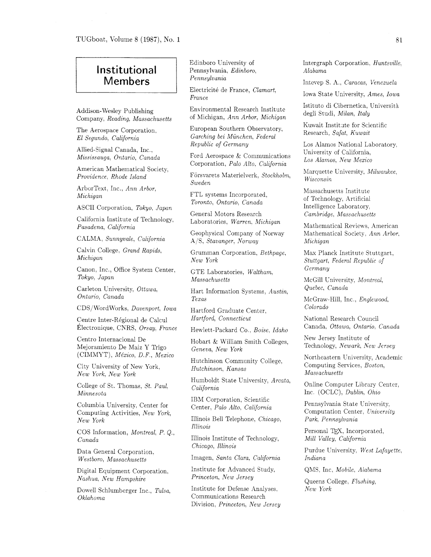## Institutional Members

Addison-Wesley Publishing Company, *Reading. Massachusetts* 

The Aerospace Corporation. *El Segundo. California* 

Allied-Signal Canada, Inc., *Mississauga, Ontario, Canada* 

American Mathematical Society: *Providence: Rhode Island* 

ArborText, Inc.. *Ann Arbor. Michigan* 

ASCII Corporation, *Tokyo, Japan* 

California Institute of Technology. *Pasadena, California* 

CALMA, *Sunnyvale, California* 

Calvin College. *Grand Rapids, Michigan* 

Canon, Inc., Office System Center, *Tokyo, Japan* 

Carleton University, *Ottawa: Ontario: Canada* 

 $CDS/WordWorks$ . *Davenport, Iowa* 

Centre Inter-Régional de Calcul  $'Electronic, CNRS, Orsay, France$ 

Centro Internacional De Mejoramiento De Maiz Y Trigo (CIMMYT) , *Me'xico, D.* F., *Mexico* 

City University of New York, *New York, New York* 

College of St. Thomas, *St. Paul*, *Minnesota* 

Columbia University, Center for Computing Activities, *New York. New York* 

COS Information, *Montreal, P.* Q.. *Canada* 

Data General Corporation. *Westboro, Massachusetts* 

Digital Equipment Corporation. *Nashua. New Hampshire* 

Dowel1 Schlumberger Inc., *Tulsa: Oklahoma* 

Edinboro University of Pennsylvania, *Edinboro, Pennsylvania* 

Electricité de France, *Clamart*, *France* 

Environmental Research Institute of Michigan, *Ann Arbor, Michigan* 

European Southern Observatory, *Garching bei Munchen. Federal Republic of Germany* 

Ford Aerospace & Communications Corporation, *Pa10 Alto. Calzfornia* 

Försvarets Materielverk, *Stockholm*, *Sweden* 

FTL systems Incorporated. *Toronto. Ontarzo, Canada* 

General Motors Research Laboratories, *Warren. Michigan* 

Geophysical Company of Norway A/S, *Stavanger. Norway* 

Grumman Corporation, *Bethpage*, *New York* 

GTE Laboratories, *Waltham. Massachusetts* 

Hart Information Systems, *Austin. Texas* 

Hartford Graduate Center, *Hartford, Connecticut* 

Hewlett-Packard Co.. *Boise, Idaho* 

Hobart & William Smith Colleges, *Geneva, New York* 

Hutchinson Community College,  $Hutchinson, Kansas$ 

Humboldt State University; *Arcata. California* 

IBM Corporation, Scientific Center, Palo Alto, California

Illinois Bell Telephone. *Chicago. Illinois* 

Illinois Institute of Technology, *Chicago, Illinois* 

Imagen, *Santa Clara, California* 

Institute for Advanced Study, *Princeton, New Jersey* 

Institute for Defense Analyses, Communications Research Division, *Princeton, New Jersey*  Intergraph Corporation. *Huntsville~ Alabama* 

Intevep *S.* **A,.** *Caracas, Venezuela* 

Iowa State University, *Ames, Iowa* 

Istituto di Cibernetica, Universita degli Studi, *Milan, Italy* 

Kuwait Institute for Scientific Research, *Safat*, *Kuwait* 

Los Alamos National Laboratory. University of California, *Los Alamos, New Mexico* 

Marquette University, *Milwaukee*, *Wisconsin* 

Massachusetts Institute of Technology, Artificial Intelligence Laboratory. *Cambridge. Massachusetts* 

Mathematical Reviews, American Mathematical Society. *Ann Arbor. Michigan* 

Max Planck Institute Stuttgart, *Stuttgart, Federal Republic of Germany* 

McGill University, *Montreal, Quebec, Canada* 

McGraw-Hill, Inc., *Englewood. Colorado* 

National Research Council Canada. *Ottawa: Ontario. Canada* 

New Jersey Institute of Technology, *Newark. New Jersey* 

Northeastern University, Academic Computing Services. *Boston, Massachusetts* 

Online Computer Library Center. Inc. (OCLC), *Dublin, Ohzo* 

Pennsylvania State Cniversity. Computation Center, *University Park. Pennsylvania* 

Personal TFX, Incorporated, *Mill Valley, California* 

Purdue University, *West Lafayette. Indiana* 

QMS. Inc. *Mobile. Alabama* 

Queens College. *Flushing, New York*